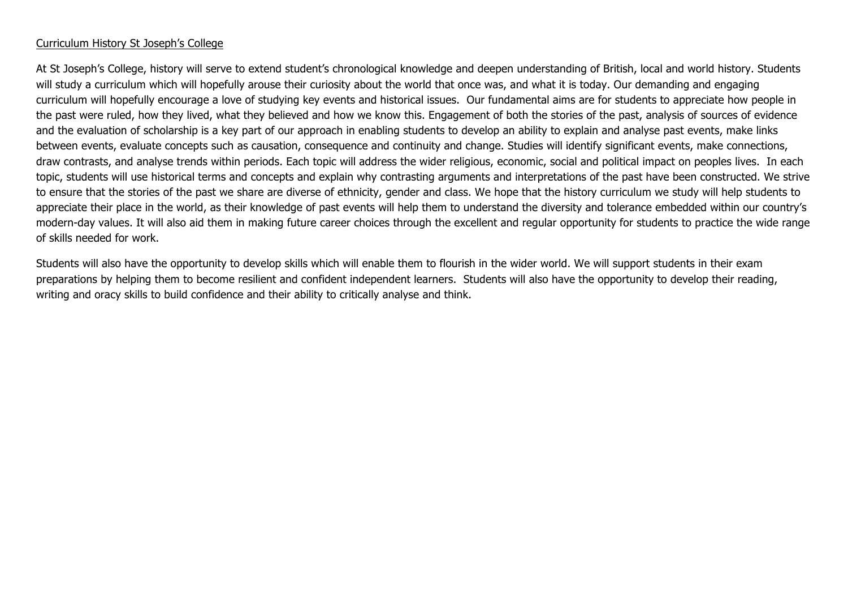#### Curriculum History St Joseph's College

At St Joseph's College, history will serve to extend student's chronological knowledge and deepen understanding of British, local and world history. Students will study a curriculum which will hopefully arouse their curiosity about the world that once was, and what it is today. Our demanding and engaging curriculum will hopefully encourage a love of studying key events and historical issues. Our fundamental aims are for students to appreciate how people in the past were ruled, how they lived, what they believed and how we know this. Engagement of both the stories of the past, analysis of sources of evidence and the evaluation of scholarship is a key part of our approach in enabling students to develop an ability to explain and analyse past events, make links between events, evaluate concepts such as causation, consequence and continuity and change. Studies will identify significant events, make connections, draw contrasts, and analyse trends within periods. Each topic will address the wider religious, economic, social and political impact on peoples lives. In each topic, students will use historical terms and concepts and explain why contrasting arguments and interpretations of the past have been constructed. We strive to ensure that the stories of the past we share are diverse of ethnicity, gender and class. We hope that the history curriculum we study will help students to appreciate their place in the world, as their knowledge of past events will help them to understand the diversity and tolerance embedded within our country's modern-day values. It will also aid them in making future career choices through the excellent and regular opportunity for students to practice the wide range of skills needed for work.

Students will also have the opportunity to develop skills which will enable them to flourish in the wider world. We will support students in their exam preparations by helping them to become resilient and confident independent learners. Students will also have the opportunity to develop their reading, writing and oracy skills to build confidence and their ability to critically analyse and think.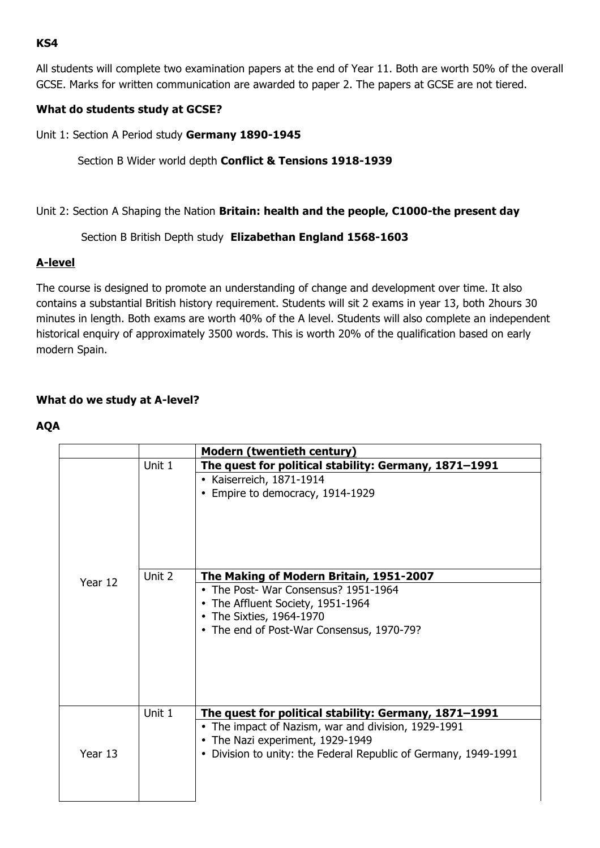### **KS4**

All students will complete two examination papers at the end of Year 11. Both are worth 50% of the overall GCSE. Marks for written communication are awarded to paper 2. The papers at GCSE are not tiered.

### **What do students study at GCSE?**

Unit 1: Section A Period study **Germany 1890-1945**

# Section B Wider world depth **Conflict & Tensions 1918-1939**

### Unit 2: Section A Shaping the Nation **Britain: health and the people, C1000-the present day**

# Section B British Depth study **Elizabethan England 1568-1603**

### **A-level**

The course is designed to promote an understanding of change and development over time. It also contains a substantial British history requirement. Students will sit 2 exams in year 13, both 2hours 30 minutes in length. Both exams are worth 40% of the A level. Students will also complete an independent historical enquiry of approximately 3500 words. This is worth 20% of the qualification based on early modern Spain.

# **What do we study at A-level?**

### **AQA**

|         |        | <b>Modern (twentieth century)</b>                                                                                                                                                                                              |
|---------|--------|--------------------------------------------------------------------------------------------------------------------------------------------------------------------------------------------------------------------------------|
|         | Unit 1 | The quest for political stability: Germany, 1871-1991<br>• Kaiserreich, 1871-1914<br>• Empire to democracy, 1914-1929                                                                                                          |
| Year 12 | Unit 2 | The Making of Modern Britain, 1951-2007<br>• The Post- War Consensus? 1951-1964<br>• The Affluent Society, 1951-1964<br>• The Sixties, 1964-1970<br>• The end of Post-War Consensus, 1970-79?                                  |
| Year 13 | Unit 1 | The quest for political stability: Germany, 1871-1991<br>• The impact of Nazism, war and division, 1929-1991<br>• The Nazi experiment, 1929-1949<br>Division to unity: the Federal Republic of Germany, 1949-1991<br>$\bullet$ |